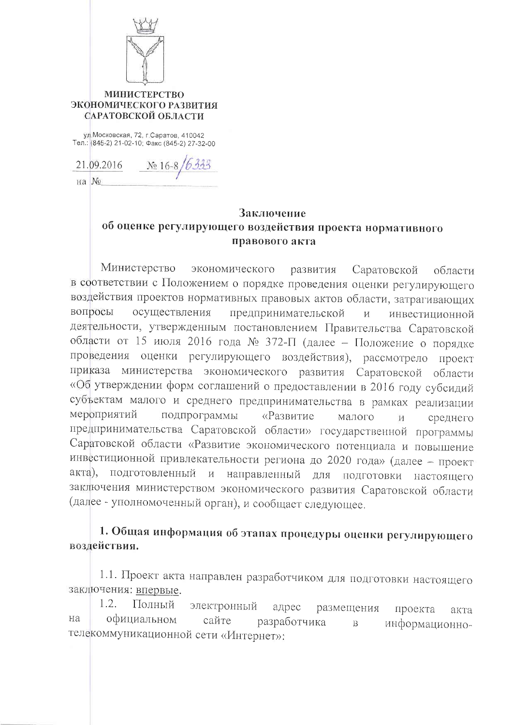

## **МИНИСТЕРСТВО** ЭКОНОМИЧЕСКОГО РАЗВИТИЯ САРАТОВСКОЙ ОБЛАСТИ

ул. Московская, 72, г. Саратов, 410042 Тел.: (845-2) 21-02-10; Факс (845-2) 27-32-00

21.09.2016 No 16-8

 $Ha$  N<sup>o</sup>

# Заключение об оценке регулирующего воздействия проекта нормативного правового акта

Министерство экономического развития Саратовской области в соответствии с Положением о порядке проведения оценки регулирующего воздействия проектов нормативных правовых актов области, затрагивающих вопросы осуществления предпринимательской И инвестиционной деятельности, утвержденным постановлением Правительства Саратовской области от 15 июля 2016 года № 372-П (далее - Положение о порядке проведения оценки регулирующего воздействия), рассмотрело проект приказа министерства экономического развития Саратовской области «Об утверждении форм соглашений о предоставлении в 2016 году субсидий субъектам малого и среднего предпринимательства в рамках реализации мероприятий подпрограммы «Развитие малого И среднего предпринимательства Саратовской области» государственной программы Саратовской области «Развитие экономического потенциала и повышение инвестиционной привлекательности региона до 2020 года» (далее - проект акта), подготовленный и направленный для подготовки настоящего заключения министерством экономического развития Саратовской области (далее - уполномоченный орган), и сообщает следующее.

# 1. Общая информация об этапах процедуры оценки регулирующего воздействия.

1.1. Проект акта направлен разработчиком для подготовки настоящего заключения: впервые.

 $1.2.$ Полный электронный адрес размещения проекта акта официальном на сайте разработчика информационно- $\mathbf{B}$ телекоммуникационной сети «Интернет»: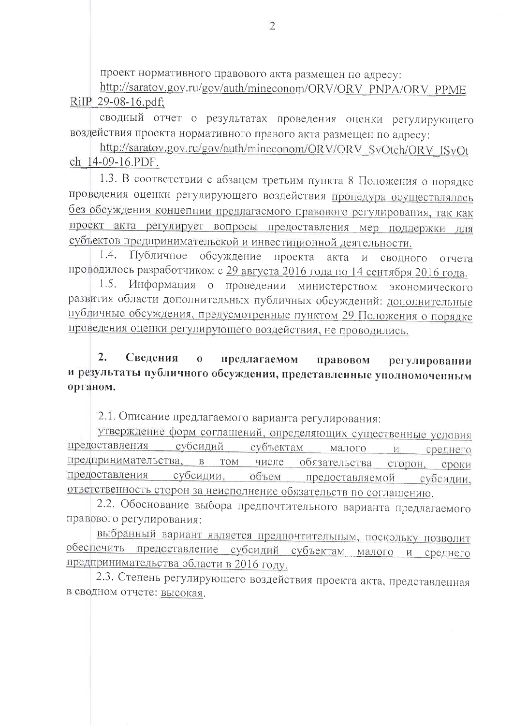проект нормативного правового акта размещен по адресу:

http://saratov.gov.ru/gov/auth/mineconom/ORV/ORV\_PNPA/ORV\_PPME RiIP 29-08-16.pdf;

сводный отчет о результатах проведения оценки регулирующего воздействия проекта нормативного правого акта размещен по адресу:

http://saratov.gov.ru/gov/auth/mineconom/ORV/ORV SvOtch/ORV ISvOt ch 14-09-16.PDF.

1.3. В соответствии с абзацем третьим пункта 8 Положения о порядке проведения оценки регулирующего воздействия процедура осуществлялась без обсуждения концепции предлагаемого правового регулирования, так как проект акта регулирует вопросы предоставления мер поддержки для субъектов предпринимательской и инвестиционной деятельности.

1.4. Публичное обсуждение проекта акта  $M$ СВОДНОГО отчета проводилось разработчиком с 29 августа 2016 года по 14 сентября 2016 года.

Информация о проведении министерством экономического  $1.5.$ развития области дополнительных публичных обсуждений: дополнительные публичные обсуждения, предусмотренные пунктом 29 Положения о порядке проведения оценки регулирующего воздействия, не проводились.

### $2.$ Свеления  $\overline{0}$ предлагаемом правовом регулировании и результаты публичного обсуждения, представленные уполномоченным органом.

2.1. Описание предлагаемого варианта регулирования:

утверждение форм соглашений, определяющих существенные условия предоставления субсидий субъектам малого  $\overline{\mathbf{M}}$ среднего предпринимательства. B TOM числе обязательства сторон, сроки предоставления субсидии. объем предоставляемой субсидии, ответственность сторон за неисполнение обязательств по соглашению.

2.2. Обоснование выбора предпочтительного варианта предлагаемого правового регулирования:

выбранный вариант является предпочтительным, поскольку позволит обеспечить предоставление субсидий субъектам малого и среднего предпринимательства области в 2016 году.

2.3. Степень регулирующего воздействия проекта акта, представленная в сводном отчете: высокая.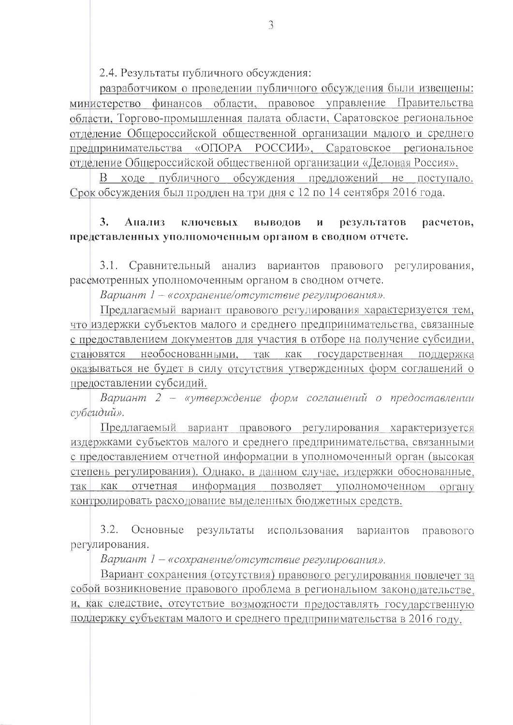2.4. Результаты публичного обсуждения:

разработчиком о проведении публичного обсуждения были извещены: министерство финансов области, правовое управление Правительства области. Торгово-промышленная палата области. Саратовское региональное отделение Общероссийской общественной организации малого и среднего предпринимательства «ОПОРА РОССИИ», Саратовское региональное отделение Общероссийской общественной организации «Деловая Россия».

В ходе публичного обсуждения предложений не поступало. Срок обсуждения был продлен на три дня с 12 по 14 сентября 2016 года.

### $3.$ Анализ ключевых выводов расчетов,  $\mathbf{M}$ результатов представленных уполномоченным органом в сводном отчете.

 $3.1.$ Сравнительный анализ вариантов правового регулирования, рассмотренных уполномоченным органом в сводном отчете.

Вариант 1 - «сохранение/отсутствие регулирования».

Предлагаемый вариант правового регулирования характеризуется тем, что издержки субъектов малого и среднего предпринимательства, связанные с предоставлением документов для участия в отборе на получение субсидии, становятся необоснованными, так как государственная поддержка оказываться не будет в силу отсутствия утвержденных форм соглашений о предоставлении субсидий.

Вариант 2 - «утверждение форм соглашений о предоставлении субсидий».

Предлагаемый вариант правового регулирования характеризуется издержками субъектов малого и среднего предпринимательства, связанными с предоставлением отчетной информации в уполномоченный орган (высокая степень регулирования). Однако, в данном случае, издержки обоснованные, так как отчетная информация позволяет уполномоченном органу контролировать расходование выделенных бюджетных средств.

 $3.2.$ Основные результаты использования вариантов правового регулирования.

Вариант 1 – «сохранение/отсутствие регулирования».

Вариант сохранения (отсутствия) правового регулирования повлечет за собой возникновение правового проблема в региональном законодательстве, и, как следствие, отсутствие возможности предоставлять государственную поддержку субъектам малого и среднего предпринимательства в 2016 году.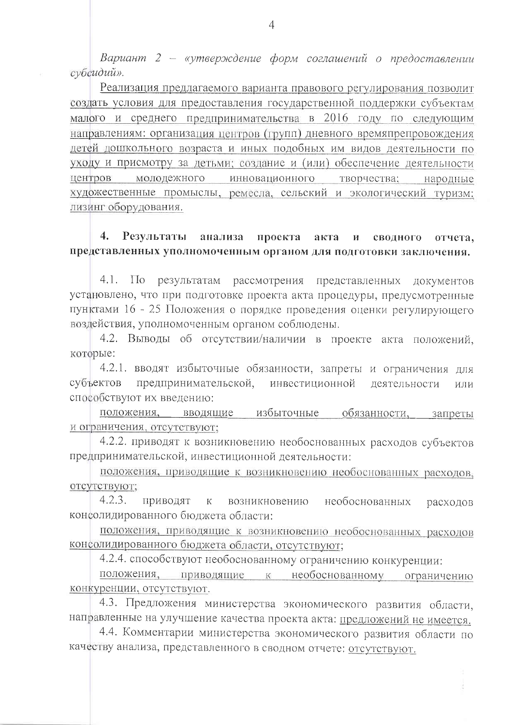Вариант 2 - «утверждение форм соглашений о предоставлении субсидий».

Реализация предлагаемого варианта правового регулирования позволит создать условия для предоставления государственной поддержки субъектам малого и среднего предпринимательства в 2016 году по следующим направлениям: организация центров (групп) дневного времяпрепровождения детей дошкольного возраста и иных подобных им видов деятельности по уходу и присмотру за детьми; создание и (или) обеспечение деятельности центров молодежного инновационного творчества; народные художественные промыслы, ремесла, сельский и экологический туризм: лизинг оборудования.

#### $4.$ Результаты анализа проекта акта И сводного отчета, представленных уполномоченным органом для подготовки заключения.

 $4.1.$  $\Pi$ <sub>o</sub> результатам рассмотрения представленных документов установлено, что при подготовке проекта акта процедуры, предусмотренные пунктами 16 - 25 Положения о порядке проведения оценки регулирующего воздействия, уполномоченным органом соблюдены.

4.2. Выводы об отсутствии/наличии в проекте акта положений, которые:

4.2.1. вводят избыточные обязанности, запреты и ограничения для субъектов предпринимательской, инвестиционной деятельности или способствуют их введению:

положения, вводящие избыточные обязанности, запреты и ограничения, отсутствуют;

4.2.2. приводят к возникновению необоснованных расходов субъектов предпринимательской, инвестиционной деятельности:

положения, приводящие к возникновению необоснованных расходов, отсутствуют;

 $4.2.3.$ приводят возникновению необоснованных  $\mathbf K$ расходов консолидированного бюджета области:

положения, приводящие к возникновению необоснованных расходов консолидированного бюджета области, отсутствуют;

4.2.4. способствуют необоснованному ограничению конкуренции:

положения, приводящие к необоснованному ограничению конкуренции, отсутствуют.

4.3. Предложения министерства экономического развития области, направленные на улучшение качества проекта акта: предложений не имеется.

4.4. Комментарии министерства экономического развития области по качеству анализа, представленного в сводном отчете: отсутствуют.

ił.